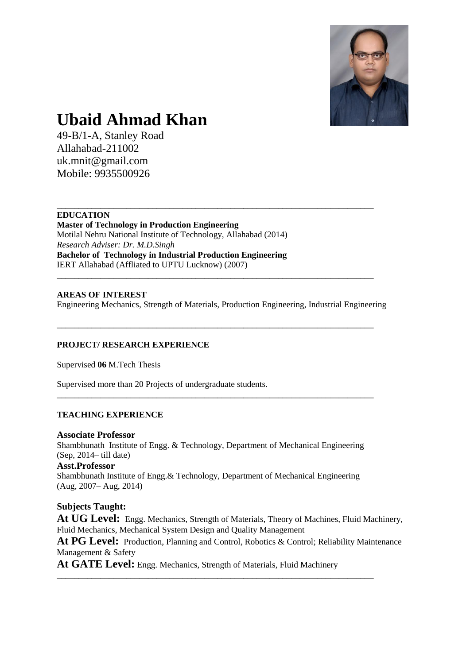

# **Ubaid Ahmad Khan**

49-B/1-A, Stanley Road Allahabad-211002 uk.mnit@gmail.com Mobile: 9935500926

# **EDUCATION**

**Master of Technology in Production Engineering** Motilal Nehru National Institute of Technology, Allahabad (2014) *Research Adviser: Dr. M.D.Singh* **Bachelor of Technology in Industrial Production Engineering** IERT Allahabad (Affliated to UPTU Lucknow) (2007) \_\_\_\_\_\_\_\_\_\_\_\_\_\_\_\_\_\_\_\_\_\_\_\_\_\_\_\_\_\_\_\_\_\_\_\_\_\_\_\_\_\_\_\_\_\_\_\_\_\_\_\_\_\_\_\_\_\_\_\_\_\_\_\_\_\_\_\_\_\_\_\_\_

# **AREAS OF INTEREST** Engineering Mechanics, Strength of Materials, Production Engineering, Industrial Engineering

\_\_\_\_\_\_\_\_\_\_\_\_\_\_\_\_\_\_\_\_\_\_\_\_\_\_\_\_\_\_\_\_\_\_\_\_\_\_\_\_\_\_\_\_\_\_\_\_\_\_\_\_\_\_\_\_\_\_\_\_\_\_\_\_\_\_\_\_\_\_\_\_\_

\_\_\_\_\_\_\_\_\_\_\_\_\_\_\_\_\_\_\_\_\_\_\_\_\_\_\_\_\_\_\_\_\_\_\_\_\_\_\_\_\_\_\_\_\_\_\_\_\_\_\_\_\_\_\_\_\_\_\_\_\_\_\_\_\_\_\_\_\_\_\_\_\_

\_\_\_\_\_\_\_\_\_\_\_\_\_\_\_\_\_\_\_\_\_\_\_\_\_\_\_\_\_\_\_\_\_\_\_\_\_\_\_\_\_\_\_\_\_\_\_\_\_\_\_\_\_\_\_\_\_\_\_\_\_\_\_\_\_\_\_\_\_\_\_\_\_

# **PROJECT/ RESEARCH EXPERIENCE**

Supervised **06** M.Tech Thesis

Supervised more than 20 Projects of undergraduate students.

# **TEACHING EXPERIENCE**

# **Associate Professor**

Shambhunath Institute of Engg. & Technology, Department of Mechanical Engineering (Sep, 2014– till date) **Asst.Professor** Shambhunath Institute of Engg.& Technology, Department of Mechanical Engineering (Aug, 2007– Aug, 2014)

# **Subjects Taught:**

**At UG Level:** Engg. Mechanics, Strength of Materials, Theory of Machines, Fluid Machinery, Fluid Mechanics, Mechanical System Design and Quality Management

At PG Level: Production, Planning and Control, Robotics & Control; Reliability Maintenance Management & Safety

**At GATE Level:** Engg. Mechanics, Strength of Materials, Fluid Machinery

\_\_\_\_\_\_\_\_\_\_\_\_\_\_\_\_\_\_\_\_\_\_\_\_\_\_\_\_\_\_\_\_\_\_\_\_\_\_\_\_\_\_\_\_\_\_\_\_\_\_\_\_\_\_\_\_\_\_\_\_\_\_\_\_\_\_\_\_\_\_\_\_\_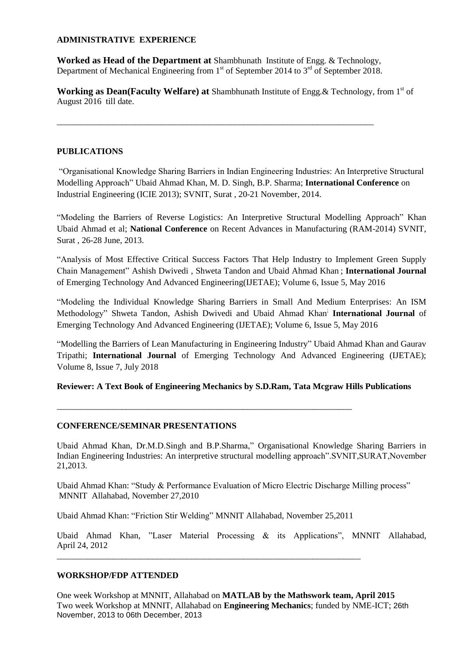# **ADMINISTRATIVE EXPERIENCE**

**Worked as Head of the Department at** Shambhunath Institute of Engg. & Technology, Department of Mechanical Engineering from  $1<sup>st</sup>$  of September 2014 to  $3<sup>rd</sup>$  of September 2018.

\_\_\_\_\_\_\_\_\_\_\_\_\_\_\_\_\_\_\_\_\_\_\_\_\_\_\_\_\_\_\_\_\_\_\_\_\_\_\_\_\_\_\_\_\_\_\_\_\_\_\_\_\_\_\_\_\_\_\_\_\_\_\_\_\_\_\_\_\_\_\_\_\_

Working as Dean(Faculty Welfare) at Shambhunath Institute of Engg. & Technology, from 1<sup>st</sup> of August 2016 till date.

# **PUBLICATIONS**

"Organisational Knowledge Sharing Barriers in Indian Engineering Industries: An Interpretive Structural Modelling Approach" Ubaid Ahmad Khan, M. D. Singh, B.P. Sharma; **International Conference** on Industrial Engineering (ICIE 2013); SVNIT, Surat , 20-21 November, 2014.

"Modeling the Barriers of Reverse Logistics: An Interpretive Structural Modelling Approach" Khan Ubaid Ahmad et al; **National Conference** on Recent Advances in Manufacturing (RAM-2014) SVNIT, Surat , 26-28 June, 2013.

"Analysis of Most Effective Critical Success Factors That Help Industry to Implement Green Supply Chain Management" Ashish Dwivedi , Shweta Tandon and Ubaid Ahmad Khan ; **International Journal** of Emerging Technology And Advanced Engineering(IJETAE); Volume 6, Issue 5, May 2016

"Modeling the Individual Knowledge Sharing Barriers in Small And Medium Enterprises: An ISM Methodology" Shweta Tandon, Ashish Dwivedi and Ubaid Ahmad Khan; **International Journal** of Emerging Technology And Advanced Engineering (IJETAE); Volume 6, Issue 5, May 2016

"Modelling the Barriers of Lean Manufacturing in Engineering Industry" Ubaid Ahmad Khan and Gaurav Tripathi; **International Journal** of Emerging Technology And Advanced Engineering (IJETAE); Volume 8, Issue 7, July 2018

# **Reviewer: A Text Book of Engineering Mechanics by S.D.Ram, Tata Mcgraw Hills Publications**

# **CONFERENCE/SEMINAR PRESENTATIONS**

Ubaid Ahmad Khan, Dr.M.D.Singh and B.P.Sharma," Organisational Knowledge Sharing Barriers in Indian Engineering Industries: An interpretive structural modelling approach".SVNIT,SURAT,November 21,2013.

Ubaid Ahmad Khan: "Study & Performance Evaluation of Micro Electric Discharge Milling process" MNNIT Allahabad, November 27,2010

Ubaid Ahmad Khan: "Friction Stir Welding" MNNIT Allahabad, November 25,2011

\_\_\_\_\_\_\_\_\_\_\_\_\_\_\_\_\_\_\_\_\_\_\_\_\_\_\_\_\_\_\_\_\_\_\_\_\_\_\_\_\_\_\_\_\_\_\_\_\_\_\_\_\_\_\_\_\_\_\_\_\_\_\_\_\_\_\_\_\_\_

\_\_\_\_\_\_\_\_\_\_\_\_\_\_\_\_\_\_\_\_\_\_\_\_\_\_\_\_\_\_\_\_\_\_\_\_\_\_\_\_\_\_\_\_\_\_\_\_\_\_\_\_\_\_\_\_\_\_\_\_\_\_\_\_\_\_\_\_

Ubaid Ahmad Khan, "Laser Material Processing & its Applications", MNNIT Allahabad, April 24, 2012

# **WORKSHOP/FDP ATTENDED**

One week Workshop at MNNIT, Allahabad on **MATLAB by the Mathswork team, April 2015** Two week Workshop at MNNIT, Allahabad on **Engineering Mechanics**; funded by NME-ICT; 26th November, 2013 to 06th December, 2013